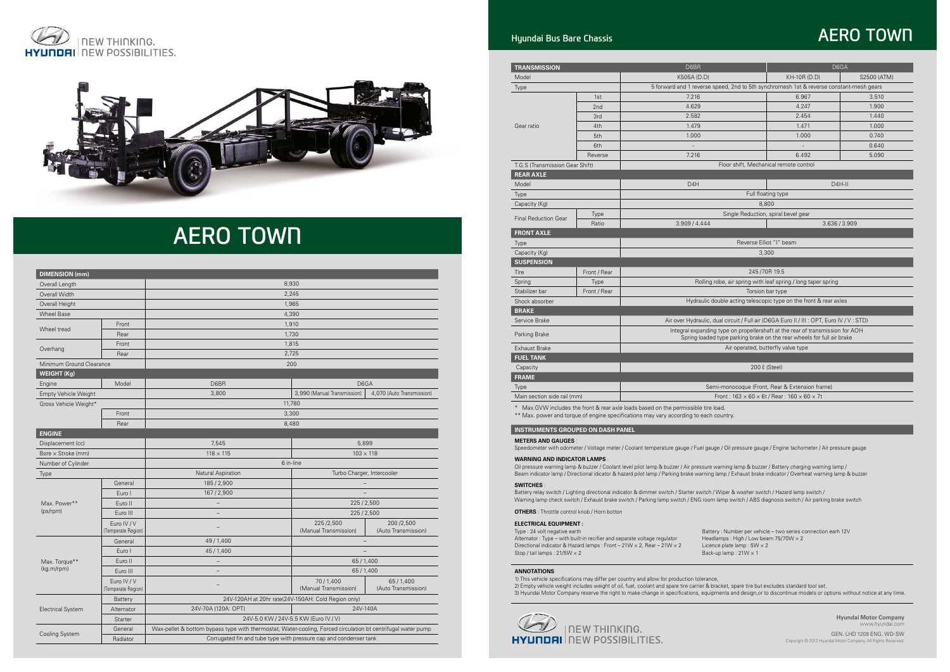



# **AERO TOWN**

**Hyundai Motor Company**  www.hyundai.com

GEN. LHD 1208 ENG. WD-SW Copyright © 2012 Hyundai Motor Company. All Rights Reserved.

| <b>DIMENSION</b> (mm)       |                                   |                                                                                                              |                                                     |                                  |  |  |  |  |
|-----------------------------|-----------------------------------|--------------------------------------------------------------------------------------------------------------|-----------------------------------------------------|----------------------------------|--|--|--|--|
| Overall Length              |                                   | 8,930                                                                                                        |                                                     |                                  |  |  |  |  |
| Overall Width               |                                   | 2,245                                                                                                        |                                                     |                                  |  |  |  |  |
| Overall Height              |                                   | 1,965                                                                                                        |                                                     |                                  |  |  |  |  |
| <b>Wheel Base</b>           |                                   | 4,390                                                                                                        |                                                     |                                  |  |  |  |  |
| Front                       |                                   | 1,910                                                                                                        |                                                     |                                  |  |  |  |  |
| Wheel tread                 | Rear                              | 1,730                                                                                                        |                                                     |                                  |  |  |  |  |
|                             | Front                             | 1,815                                                                                                        |                                                     |                                  |  |  |  |  |
| Overhang                    | Rear                              |                                                                                                              | 2,725                                               |                                  |  |  |  |  |
| Minimum Ground Clearance    |                                   |                                                                                                              | 200                                                 |                                  |  |  |  |  |
| <b>WEIGHT (Kg)</b>          |                                   |                                                                                                              |                                                     |                                  |  |  |  |  |
| Engine                      | Model                             | D6BR                                                                                                         | D6GA                                                |                                  |  |  |  |  |
| <b>Empty Vehicle Weight</b> |                                   | 3,800                                                                                                        | 3,990 (Manual Transmission)                         | 4,070 (Auto Transmission)        |  |  |  |  |
| Gross Vehicle Weight*       |                                   |                                                                                                              | 11,780                                              |                                  |  |  |  |  |
|                             | Front                             |                                                                                                              | 3,300                                               |                                  |  |  |  |  |
|                             | Rear                              |                                                                                                              | 8,480                                               |                                  |  |  |  |  |
| <b>ENGINE</b>               |                                   |                                                                                                              |                                                     |                                  |  |  |  |  |
| Displacement (cc)           |                                   | 7,545                                                                                                        | 5,899                                               |                                  |  |  |  |  |
| Bore $\times$ Stroke (mm)   |                                   | $118 \times 115$<br>$103 \times 118$                                                                         |                                                     |                                  |  |  |  |  |
| Number of Cylinder          |                                   |                                                                                                              | 6 in-line                                           |                                  |  |  |  |  |
| Type                        |                                   | Natural Aspiration                                                                                           | Turbo Charger, Intercooler                          |                                  |  |  |  |  |
|                             | General                           | 185/2,900                                                                                                    |                                                     |                                  |  |  |  |  |
|                             | Euro I                            | 167/2,900                                                                                                    |                                                     |                                  |  |  |  |  |
| Max. Power**                | Euro II                           |                                                                                                              | 225/2,500                                           |                                  |  |  |  |  |
| (ps/rpm)                    | Euro III                          |                                                                                                              | 225/2,500                                           |                                  |  |  |  |  |
|                             | Euro IV / V<br>(Temperate Region) |                                                                                                              | 225/2,500<br>(Manual Transmission)                  | 200/2,500<br>(Auto Transmission) |  |  |  |  |
|                             | General                           | 49/1,400                                                                                                     |                                                     |                                  |  |  |  |  |
|                             | Euro I                            | 45/1,400                                                                                                     |                                                     |                                  |  |  |  |  |
| Max. Torque**               | Euro II                           |                                                                                                              | 65/1,400                                            |                                  |  |  |  |  |
| (kg.m/rpm)                  | Euro III                          |                                                                                                              | 65/1,400                                            |                                  |  |  |  |  |
|                             | Euro IV / V<br>(Temperate Region) | 70/1,400<br>(Manual Transmission)                                                                            |                                                     | 65/1,400<br>(Auto Transmission)  |  |  |  |  |
|                             | <b>Battery</b>                    |                                                                                                              | 24V-120AH at 20hr rate(24V-150AH: Cold Region only) |                                  |  |  |  |  |
| <b>Electrical System</b>    | Alternator                        | 24V-70A (120A: OPT)                                                                                          | 24V-140A                                            |                                  |  |  |  |  |
|                             | Starter                           |                                                                                                              | 24V-5.0 KW / 24V-5.5 KW (Euro IV / V)               |                                  |  |  |  |  |
|                             | General                           | Wax-pellet & bottom bypass type with thermostat, Water-cooling, Forced circulation bt centrifugal water pump |                                                     |                                  |  |  |  |  |
| Cooling System              | Radiator                          | Corrugated fin and tube type with pressure cap and condenser tank                                            |                                                     |                                  |  |  |  |  |

Type : 24 volt negative earth Battery : Number per vehicle – two series connection earh 12V Alternator : Type – with built-in recifier and separate voltage regulator Headlamps : High / Low beam 75/70W × 2 Directional indicator & Hazard lamps : Front – 21W × 2, Rear – 21W × 2 Licence plate lamp : 5W × 2<br>Stop / tail lamps : 21/5W × 2 Back-up lamp : 21W × 1 Stop / tail lamps : 21/5W  $\times$  2

| <b>TRANSMISSION</b>                      |              | D6BR<br>D6GA                                                                                                                                                                |                                                |         |  |  |  |
|------------------------------------------|--------------|-----------------------------------------------------------------------------------------------------------------------------------------------------------------------------|------------------------------------------------|---------|--|--|--|
| Model                                    |              | K505A (D.D)                                                                                                                                                                 | KH-10R (D.D)<br>S2500 (ATM)                    |         |  |  |  |
| Type                                     |              | 5 forward and 1 reverse speed, 2nd to 5th synchromesh 1st & reverse constant-mesh gears                                                                                     |                                                |         |  |  |  |
|                                          | 1st          | 7.216                                                                                                                                                                       | 6.967                                          | 3.510   |  |  |  |
|                                          | 2nd          | 4.629                                                                                                                                                                       | 4.247                                          | 1.900   |  |  |  |
|                                          | 3rd          | 2.582                                                                                                                                                                       | 2.454                                          | 1.440   |  |  |  |
| Gear ratio                               | 4th          | 1.479                                                                                                                                                                       | 1.471                                          | 1.000   |  |  |  |
|                                          | 5th          | 1.000                                                                                                                                                                       | 1.000                                          | 0.740   |  |  |  |
|                                          | 6th          |                                                                                                                                                                             |                                                | 0.640   |  |  |  |
|                                          | Reverse      | 7.216                                                                                                                                                                       | 6.492                                          | 5.090   |  |  |  |
| T.G.S (Transmission Gear Shift)          |              | Floor shift, Mechanical remote control                                                                                                                                      |                                                |         |  |  |  |
| <b>REAR AXLE</b>                         |              |                                                                                                                                                                             |                                                |         |  |  |  |
| Model                                    |              | D <sub>4</sub> H                                                                                                                                                            |                                                | $D4H-H$ |  |  |  |
| Type                                     |              | Full floating type                                                                                                                                                          |                                                |         |  |  |  |
| Capacity (Kg)                            |              | 8,800                                                                                                                                                                       |                                                |         |  |  |  |
|                                          | <b>Type</b>  | Single Reduction, spiral bevel gear                                                                                                                                         |                                                |         |  |  |  |
| <b>Final Reduction Gear</b><br>Ratio     |              | 3.909/4.444                                                                                                                                                                 | 3.636/3.909                                    |         |  |  |  |
| <b>FRONT AXLE</b>                        |              |                                                                                                                                                                             |                                                |         |  |  |  |
| <b>Type</b>                              |              | Reverse Elliot "I" beam                                                                                                                                                     |                                                |         |  |  |  |
| Capacity (Kg)                            |              | 3.300                                                                                                                                                                       |                                                |         |  |  |  |
| <b>SUSPENSION</b>                        |              |                                                                                                                                                                             |                                                |         |  |  |  |
| Tire                                     | Front / Rear | 245 / 70R 19.5                                                                                                                                                              |                                                |         |  |  |  |
| Spring                                   | Type         | Rolling robe, air spring with leaf spring / long taper spring                                                                                                               |                                                |         |  |  |  |
| Stabilizer bar                           | Front / Rear | Torsion bar type                                                                                                                                                            |                                                |         |  |  |  |
| Shock absorber                           |              | Hydraulic double acting telescopic type on the front & rear axles                                                                                                           |                                                |         |  |  |  |
| <b>BRAKE</b>                             |              |                                                                                                                                                                             |                                                |         |  |  |  |
| Service Brake                            |              | Air over Hydraulic, dual circuit / Full air (D6GA Euro II / III : OPT, Euro IV / V : STD)                                                                                   |                                                |         |  |  |  |
| Parking Brake                            |              | Integral expanding type on propellershaft at the rear of transmission for AOH<br>Spring loaded type parking brake on the rear wheels for full air brake                     |                                                |         |  |  |  |
| Exhaust Brake                            |              | Air operated, butterfly valve type                                                                                                                                          |                                                |         |  |  |  |
| <b>FUEL TANK</b>                         |              |                                                                                                                                                                             |                                                |         |  |  |  |
| Capacity                                 |              | 200 l (Steel)                                                                                                                                                               |                                                |         |  |  |  |
| <b>FRAME</b>                             |              |                                                                                                                                                                             |                                                |         |  |  |  |
| Type                                     |              |                                                                                                                                                                             | Semi-monocoque (Front, Rear & Extension frame) |         |  |  |  |
| Main section side rail (mm)              |              | Front: $163 \times 60 \times 6t$ / Rear: $160 \times 60 \times 7t$                                                                                                          |                                                |         |  |  |  |
|                                          |              | * Max.GVW includes the front & rear axle loads based on the permissible tire load.<br>** Max. power and torque of engine specifications may vary according to each country. |                                                |         |  |  |  |
| <b>INSTRUMENTS GROUPED ON DASH PANEL</b> |              |                                                                                                                                                                             |                                                |         |  |  |  |

**Meters and gauges** :

Speedometer with odometer / Voltage meter / Coolant temperature gauge / Fuel gauge / Oil pressure gauge / Engine tachometer / Air pressure gauge

#### **Warning and indicator lamps** :

Oil pressure warning lamp & buzzer / Coolant level pilot lamp & buzzer / Air pressure warning lamp & buzzer / Battery charging warning lamp / Beam indicator lamp / Directional idicator & hazard pilot lamp / Parking brake warning lamp / Exhaust brake indicator / Overheat warning lamp & buzzer

## **Annotations**

1) This vehicle specifications may differ per country and allow for production tolerance, 2) Empty vehicle weight includes weight of oil, fuel, coolant and spare tire carrier & bracket, spare tire but excludes standard tool set. 3) Hyundai Motor Company reserve the right to make change in specifications, equipments and design,or to discontinue models or options without notice at any time.



## **AERO TOWN**

#### **Switches** :

Battery relay switch / Lighting directional indicator & dimmer switch / Starter switch / Wiper & washer switch / Hazard lamp switch / Warning lamp check switch / Exhaust brake switch / Parking lamp switch / ENG room lamp switch / ABS diagnosis switch / Air parking brake switch

## **Electrical equipment :**

**Others** : Throttle control knob / Horn botton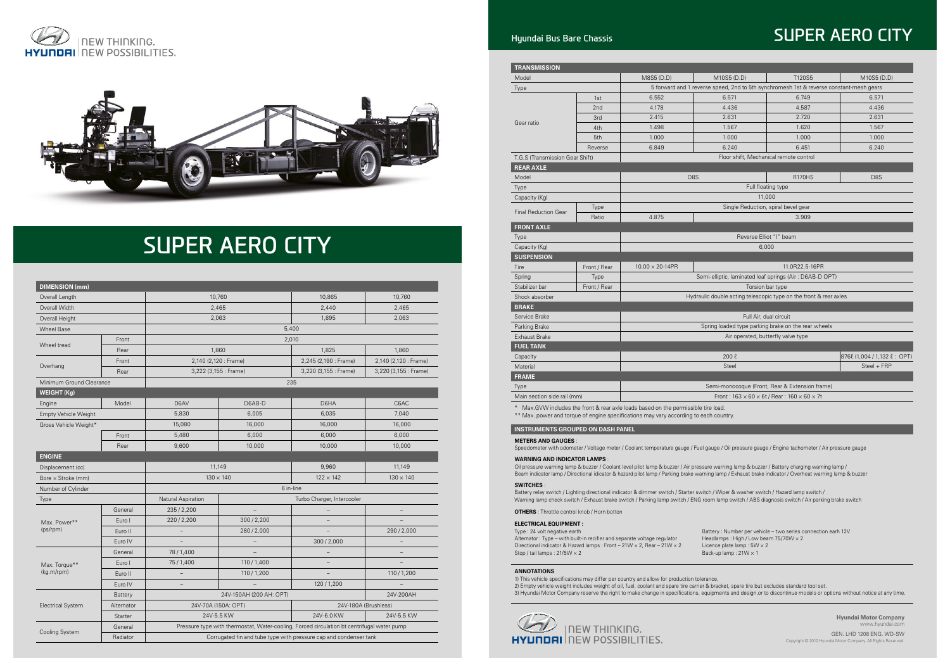



# **SUPER AERO CITY**

## **Hyundai Bus Bare Chassis SUPER AERO CITY**

**Hyundai Motor Company**  www.hyundai.com

GEN. LHD 1208 ENG. WD-SW Copyright © 2012 Hyundai Motor Company. All Rights Reserved.

| <b>DIMENSION</b> (mm)       |            |                                                                                            |                                                                   |                            |                       |  |  |  |
|-----------------------------|------------|--------------------------------------------------------------------------------------------|-------------------------------------------------------------------|----------------------------|-----------------------|--|--|--|
| Overall Length              |            | 10,760                                                                                     |                                                                   | 10,865                     | 10,760                |  |  |  |
| Overall Width               |            | 2,465                                                                                      |                                                                   | 2,440                      | 2,465                 |  |  |  |
| Overall Height              |            | 2,063                                                                                      |                                                                   | 1,895                      | 2,063                 |  |  |  |
| <b>Wheel Base</b>           |            | 5,400                                                                                      |                                                                   |                            |                       |  |  |  |
|                             | Front      |                                                                                            |                                                                   | 2,010                      |                       |  |  |  |
| Wheel tread                 | Rear       | 1,860                                                                                      |                                                                   | 1,825                      | 1,860                 |  |  |  |
|                             | Front      | 2,140 (2,120 : Frame)                                                                      |                                                                   | 2,245 (2,190 : Frame)      | 2,140 (2,120 : Frame) |  |  |  |
| Overhang                    | Rear       | 3,222 (3,155 : Frame)                                                                      |                                                                   | 3,220 (3,155 : Frame)      | 3,220 (3,155 : Frame) |  |  |  |
| Minimum Ground Clearance    |            |                                                                                            |                                                                   | 235                        |                       |  |  |  |
| <b>WEIGHT (Kg)</b>          |            |                                                                                            |                                                                   |                            |                       |  |  |  |
| Engine                      | Model      | D6AV                                                                                       | D6AB-D                                                            | D6HA                       | C6AC                  |  |  |  |
| <b>Empty Vehicle Weight</b> |            | 5,830                                                                                      | 6,005                                                             | 6,035                      | 7,040                 |  |  |  |
| Gross Vehicle Weight*       |            | 15,080                                                                                     | 16,000                                                            | 16,000                     | 16,000                |  |  |  |
|                             | Front      | 5,480                                                                                      | 6,000                                                             | 6,000                      | 6,000                 |  |  |  |
|                             | Rear       | 9,600                                                                                      | 10,000                                                            | 10,000                     | 10,000                |  |  |  |
| <b>ENGINE</b>               |            |                                                                                            |                                                                   |                            |                       |  |  |  |
| Displacement (cc)           |            | 11,149                                                                                     |                                                                   | 9,960                      | 11,149                |  |  |  |
| Bore $\times$ Stroke (mm)   |            | $130 \times 140$                                                                           |                                                                   | $122 \times 142$           | $130 \times 140$      |  |  |  |
| Number of Cylinder          |            |                                                                                            |                                                                   | 6 in-line                  |                       |  |  |  |
| <b>Type</b>                 |            | Natural Aspiration                                                                         |                                                                   | Turbo Charger, Intercooler |                       |  |  |  |
|                             | General    | 235/2,200                                                                                  |                                                                   |                            |                       |  |  |  |
| Max. Power**                | Euro I     | 220/2,200                                                                                  | 300/2,200                                                         |                            |                       |  |  |  |
| (ps/rpm)                    | Euro II    |                                                                                            | 280/2,000                                                         |                            | 290/2,000             |  |  |  |
|                             | Euro IV    |                                                                                            |                                                                   | 300/2,000                  |                       |  |  |  |
|                             | General    | 78/1,400                                                                                   |                                                                   |                            |                       |  |  |  |
| Max. Torque**               | Euro I     | 75/1,400                                                                                   | 110/1,400                                                         |                            |                       |  |  |  |
| (kg.m/rpm)                  | Euro II    | $\qquad \qquad -$                                                                          | 110/1,200                                                         |                            | 110/1,200             |  |  |  |
|                             | Euro IV    | $\overline{\phantom{m}}$                                                                   |                                                                   | 120 / 1,200                |                       |  |  |  |
|                             | Battery    |                                                                                            | 24V-150AH (200 AH: OPT)                                           | 24V-200AH                  |                       |  |  |  |
| <b>Electrical System</b>    | Alternator | 24V-70A (150A: OPT)                                                                        |                                                                   | 24V-180A (Brushless)       |                       |  |  |  |
|                             | Starter    | 24V-5.5 KW                                                                                 |                                                                   | 24V-6.0 KW                 | 24V-5.5 KW            |  |  |  |
|                             | General    | Pressure type with thermostat, Water-cooling, Forced circulation bt centrifugal water pump |                                                                   |                            |                       |  |  |  |
| <b>Cooling System</b>       | Radiator   |                                                                                            | Corrugated fin and tube type with pressure cap and condenser tank |                            |                       |  |  |  |

Type : 24 volt negative earth Battery : Number per vehicle – two series connection earh 12V Alternator : Type – with built-in recifier and separate voltage regulator Headlamps : High / Low beam 75/70W × 2 Directional indicator & Hazard lamps : Front – 21W × 2, Rear – 21W × 2 Licence plate lamp : 5W × 2<br>Stop / tail lamps : 21/5W × 2 Back-up lamp : 21W × 1 Stop / tail lamps : 21/5W  $\times$  2

| <b>TRANSMISSION</b>                           |              |                                                                                                                                                                            |                                                                   |                                                |                  |  |  |  |
|-----------------------------------------------|--------------|----------------------------------------------------------------------------------------------------------------------------------------------------------------------------|-------------------------------------------------------------------|------------------------------------------------|------------------|--|--|--|
| Model                                         |              | M8S5 (D.D)                                                                                                                                                                 | M10S5 (D.D)                                                       | T120S5                                         | M10S5 (D.D)      |  |  |  |
| <b>Type</b>                                   |              | 5 forward and 1 reverse speed, 2nd to 5th synchromesh 1st & reverse constant-mesh gears                                                                                    |                                                                   |                                                |                  |  |  |  |
|                                               | 1st          | 6.552                                                                                                                                                                      | 6.571                                                             | 6.749                                          | 6.571            |  |  |  |
|                                               | 2nd          | 4.178                                                                                                                                                                      | 4.436                                                             | 4.587                                          | 4.436            |  |  |  |
|                                               | 3rd          | 2.415                                                                                                                                                                      | 2.631                                                             | 2.720                                          | 2.631            |  |  |  |
| Gear ratio                                    | 4th          | 1.498                                                                                                                                                                      | 1.567                                                             | 1.620                                          | 1.567            |  |  |  |
|                                               | 5th          | 1.000                                                                                                                                                                      | 1.000                                                             | 1.000                                          | 1.000            |  |  |  |
|                                               | Reverse      | 6.849                                                                                                                                                                      | 6.240                                                             | 6.451                                          | 6.240            |  |  |  |
| T.G.S (Transmission Gear Shift)               |              |                                                                                                                                                                            | Floor shift, Mechanical remote control                            |                                                |                  |  |  |  |
| <b>REAR AXLE</b>                              |              |                                                                                                                                                                            |                                                                   |                                                |                  |  |  |  |
| Model                                         |              |                                                                                                                                                                            | D <sub>8</sub> S                                                  | <b>R170HS</b>                                  | D <sub>8</sub> S |  |  |  |
| <b>Type</b>                                   |              |                                                                                                                                                                            |                                                                   | Full floating type                             |                  |  |  |  |
| Capacity (Kg)                                 |              |                                                                                                                                                                            | 11,000                                                            |                                                |                  |  |  |  |
|                                               | Type         |                                                                                                                                                                            | Single Reduction, spiral bevel gear                               |                                                |                  |  |  |  |
| <b>Final Reduction Gear</b>                   | Ratio        | 4.875                                                                                                                                                                      |                                                                   | 3.909                                          |                  |  |  |  |
| <b>FRONT AXLE</b>                             |              |                                                                                                                                                                            |                                                                   |                                                |                  |  |  |  |
| <b>Type</b>                                   |              | Reverse Elliot "I" beam                                                                                                                                                    |                                                                   |                                                |                  |  |  |  |
| Capacity (Kg)                                 |              | 6,000                                                                                                                                                                      |                                                                   |                                                |                  |  |  |  |
| <b>SUSPENSION</b>                             |              |                                                                                                                                                                            |                                                                   |                                                |                  |  |  |  |
| Tire                                          | Front / Rear | $10.00 \times 20 - 14$ PR                                                                                                                                                  |                                                                   | 11.0R22.5-16PR                                 |                  |  |  |  |
| Spring                                        | <b>Type</b>  |                                                                                                                                                                            | Semi-elliptic, laminated leaf springs (Air: D6AB-D OPT)           |                                                |                  |  |  |  |
| Stabilizer bar                                | Front / Rear |                                                                                                                                                                            | Torsion bar type                                                  |                                                |                  |  |  |  |
| Shock absorber                                |              |                                                                                                                                                                            | Hydraulic double acting telescopic type on the front & rear axles |                                                |                  |  |  |  |
| <b>BRAKE</b>                                  |              |                                                                                                                                                                            |                                                                   |                                                |                  |  |  |  |
| Service Brake                                 |              |                                                                                                                                                                            | Full Air, dual circuit                                            |                                                |                  |  |  |  |
| Parking Brake                                 |              | Spring loaded type parking brake on the rear wheels                                                                                                                        |                                                                   |                                                |                  |  |  |  |
| <b>Exhaust Brake</b>                          |              |                                                                                                                                                                            | Air operated, butterfly valve type                                |                                                |                  |  |  |  |
| <b>FUEL TANK</b>                              |              |                                                                                                                                                                            |                                                                   |                                                |                  |  |  |  |
| Capacity                                      |              | $200\ell$<br>876 $\ell$ (1,004 / 1,132 $\ell$ : OPT)                                                                                                                       |                                                                   |                                                |                  |  |  |  |
| Material                                      |              | Steel + FRP<br>Steel                                                                                                                                                       |                                                                   |                                                |                  |  |  |  |
| <b>FRAME</b>                                  |              |                                                                                                                                                                            |                                                                   |                                                |                  |  |  |  |
| <b>Type</b>                                   |              |                                                                                                                                                                            |                                                                   | Semi-monocoque (Front, Rear & Extension frame) |                  |  |  |  |
| Main section side rail (mm)                   |              | Front: $163 \times 60 \times 6t$ / Rear: $160 \times 60 \times 7t$                                                                                                         |                                                                   |                                                |                  |  |  |  |
| *<br><b>INSTRUMENTS GROUPED ON DASH PANEL</b> |              | Max. GVW includes the front & rear axle loads based on the permissible tire load.<br>** Max. power and torque of engine specifications may vary according to each country. |                                                                   |                                                |                  |  |  |  |
| <b>METERS AND GAUGES:</b>                     |              |                                                                                                                                                                            |                                                                   |                                                |                  |  |  |  |

blant temperature gauge / Fuel gauge / Oil pressure gauge / Engine t<br>

#### **Warning and indicator lamps** :

Oil pressure warning lamp & buzzer / Coolant level pilot lamp & buzzer / Air pressure warning lamp & buzzer / Battery charging warning lamp / Beam indicator lamp / Directional idicator & hazard pilot lamp / Parking brake warning lamp / Exhaust brake indicator / Overheat warning lamp & buzzer

## **Annotations**

1) This vehicle specifications may differ per country and allow for production tolerance, 2) Empty vehicle weight includes weight of oil, fuel, coolant and spare tire carrier & bracket, spare tire but excludes standard tool set. 3) Hyundai Motor Company reserve the right to make change in specifications, equipments and design,or to discontinue models or options without notice at any time.



#### **Switches** :

Battery relay switch / Lighting directional indicator & dimmer switch / Starter switch / Wiper & washer switch / Hazard lamp switch / Warning lamp check switch / Exhaust brake switch / Parking lamp switch / ENG room lamp switch / ABS diagnosis switch / Air parking brake switch

## **Electrical equipment :**

**Others** : Throttle control knob / Horn botton